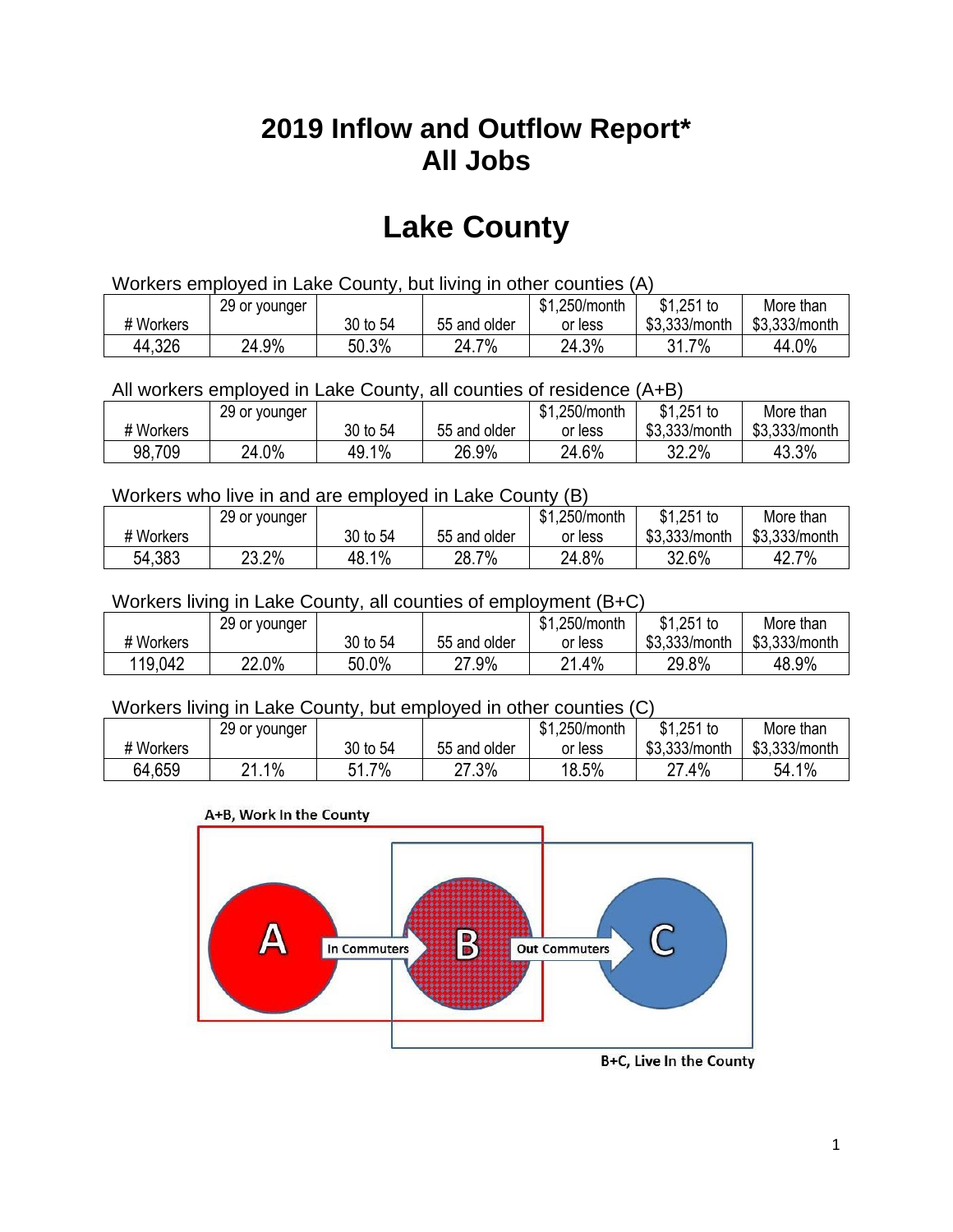## **2019 Inflow and Outflow Report\* All Jobs**

# **Lake County**

| Workers employed in Lake County, but living in other counties (A) |                                                           |          |              |         |               |               |  |  |  |
|-------------------------------------------------------------------|-----------------------------------------------------------|----------|--------------|---------|---------------|---------------|--|--|--|
|                                                                   | \$1.251 to<br>\$1.250/month<br>More than<br>29 or younger |          |              |         |               |               |  |  |  |
| # Workers                                                         |                                                           | 30 to 54 | 55 and older | or less | \$3.333/month | \$3,333/month |  |  |  |
| 44,326                                                            | 24.9%                                                     | 50.3%    | 24.7%        | 24.3%   | 31.7%         | 44.0%         |  |  |  |

All workers employed in Lake County, all counties of residence (A+B)

|           | 29 or younger |            |              | \$1,250/month | $$1,251$ to   | More than     |
|-----------|---------------|------------|--------------|---------------|---------------|---------------|
| # Workers |               | 30 to 54   | 55 and older | or less       | \$3,333/month | \$3,333/month |
| 98,709    | 24.0%         | 1%<br>49.1 | 26.9%        | 24.6%         | 32.2%         | 43.3%         |

#### Workers who live in and are employed in Lake County (B)

|           | 29 or younger |          |              | \$1,250/month | $$1,251$ to   | More than     |
|-----------|---------------|----------|--------------|---------------|---------------|---------------|
| # Workers |               | 30 to 54 | 55 and older | or less       | \$3,333/month | \$3,333/month |
| 54,383    | 23.2%         | 48.1%    | 28.7%        | 24.8%         | 32.6%         | 42.7%         |

#### Workers living in Lake County, all counties of employment (B+C)

|           | 29 or younger |          |              | \$1,250/month | \$1,251 to    | More than     |
|-----------|---------------|----------|--------------|---------------|---------------|---------------|
| # Workers |               | 30 to 54 | 55 and older | or less       | \$3,333/month | \$3,333/month |
| 119,042   | 22.0%         | 50.0%    | 27.9%        | $.4\%$<br>04  | 29.8%         | 48.9%         |

#### Workers living in Lake County, but employed in other counties (C)

|           | 29 or younger |                  |              | .250/month<br>\$1 | $$1,251$ to   | More than     |
|-----------|---------------|------------------|--------------|-------------------|---------------|---------------|
| # Workers |               | 30 to 54         | 55 and older | or less           | \$3,333/month | \$3,333/month |
| 64,659    | $1\%$<br>ິດ   | 7%<br>E 4<br>1.1 | 27.3%        | 18.5%             | 27.4%         | 54.1%         |

#### A+B, Work In the County



B+C, Live In the County